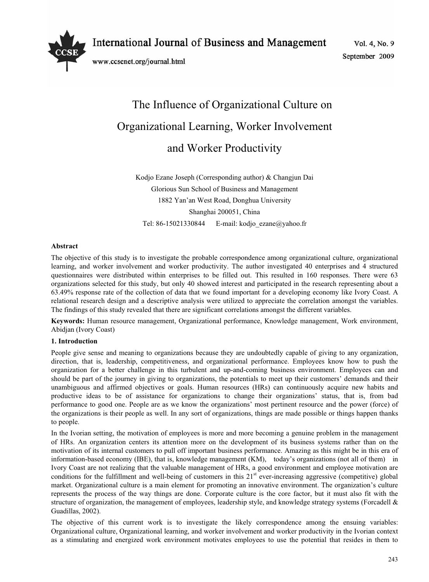

www.ccsenet.org/journal.html

Vol. 4, No. 9 September 2009

# The Influence of Organizational Culture on Organizational Learning, Worker Involvement and Worker Productivity

Kodjo Ezane Joseph (Corresponding author) & Changjun Dai Glorious Sun School of Business and Management 1882 Yan'an West Road, Donghua University Shanghai 200051, China Tel: 86-15021330844 E-mail: kodjo\_ezane@yahoo.fr

# **Abstract**

The objective of this study is to investigate the probable correspondence among organizational culture, organizational learning, and worker involvement and worker productivity. The author investigated 40 enterprises and 4 structured questionnaires were distributed within enterprises to be filled out. This resulted in 160 responses. There were 63 organizations selected for this study, but only 40 showed interest and participated in the research representing about a 63.49% response rate of the collection of data that we found important for a developing economy like Ivory Coast. A relational research design and a descriptive analysis were utilized to appreciate the correlation amongst the variables. The findings of this study revealed that there are significant correlations amongst the different variables.

**Keywords:** Human resource management, Organizational performance, Knowledge management, Work environment, Abidjan (Ivory Coast)

# **1. Introduction**

People give sense and meaning to organizations because they are undoubtedly capable of giving to any organization, direction, that is, leadership, competitiveness, and organizational performance. Employees know how to push the organization for a better challenge in this turbulent and up-and-coming business environment. Employees can and should be part of the journey in giving to organizations, the potentials to meet up their customers' demands and their unambiguous and affirmed objectives or goals. Human resources (HRs) can continuously acquire new habits and productive ideas to be of assistance for organizations to change their organizations' status, that is, from bad performance to good one. People are as we know the organizations' most pertinent resource and the power (force) of the organizations is their people as well. In any sort of organizations, things are made possible or things happen thanks to people.

In the Ivorian setting, the motivation of employees is more and more becoming a genuine problem in the management of HRs. An organization centers its attention more on the development of its business systems rather than on the motivation of its internal customers to pull off important business performance. Amazing as this might be in this era of information-based economy (IBE), that is, knowledge management (KM), today's organizations (not all of them) in Ivory Coast are not realizing that the valuable management of HRs, a good environment and employee motivation are conditions for the fulfillment and well-being of customers in this  $21<sup>st</sup>$  ever-increasing aggressive (competitive) global market. Organizational culture is a main element for promoting an innovative environment. The organization's culture represents the process of the way things are done. Corporate culture is the core factor, but it must also fit with the structure of organization, the management of employees, leadership style, and knowledge strategy systems (Forcadell & Guadillas, 2002).

The objective of this current work is to investigate the likely correspondence among the ensuing variables: Organizational culture, Organizational learning, and worker involvement and worker productivity in the Ivorian context as a stimulating and energized work environment motivates employees to use the potential that resides in them to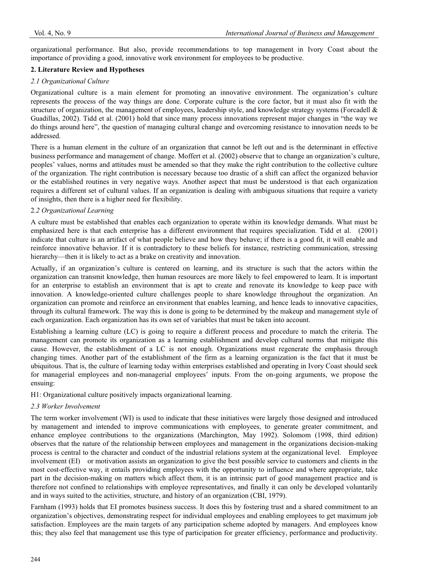organizational performance. But also, provide recommendations to top management in Ivory Coast about the importance of providing a good, innovative work environment for employees to be productive.

# **2. Literature Review and Hypotheses**

## *2.1 Organizational Culture*

Organizational culture is a main element for promoting an innovative environment. The organization's culture represents the process of the way things are done. Corporate culture is the core factor, but it must also fit with the structure of organization, the management of employees, leadership style, and knowledge strategy systems (Forcadell & Guadillas, 2002). Tidd et al. (2001) hold that since many process innovations represent major changes in "the way we do things around here", the question of managing cultural change and overcoming resistance to innovation needs to be addressed.

There is a human element in the culture of an organization that cannot be left out and is the determinant in effective business performance and management of change. Moffert et al. (2002) observe that to change an organization's culture, peoples' values, norms and attitudes must be amended so that they make the right contribution to the collective culture of the organization. The right contribution is necessary because too drastic of a shift can affect the organized behavior or the established routines in very negative ways. Another aspect that must be understood is that each organization requires a different set of cultural values. If an organization is dealing with ambiguous situations that require a variety of insights, then there is a higher need for flexibility.

# 2*.2 Organizational Learning*

A culture must be established that enables each organization to operate within its knowledge demands. What must be emphasized here is that each enterprise has a different environment that requires specialization. Tidd et al. (2001) indicate that culture is an artifact of what people believe and how they behave; if there is a good fit, it will enable and reinforce innovative behavior. If it is contradictory to these beliefs for instance, restricting communication, stressing hierarchy—then it is likely to act as a brake on creativity and innovation.

Actually, if an organization's culture is centered on learning, and its structure is such that the actors within the organization can transmit knowledge, then human resources are more likely to feel empowered to learn. It is important for an enterprise to establish an environment that is apt to create and renovate its knowledge to keep pace with innovation. A knowledge-oriented culture challenges people to share knowledge throughout the organization. An organization can promote and reinforce an environment that enables learning, and hence leads to innovative capacities, through its cultural framework. The way this is done is going to be determined by the makeup and management style of each organization. Each organization has its own set of variables that must be taken into account.

Establishing a learning culture (LC) is going to require a different process and procedure to match the criteria. The management can promote its organization as a learning establishment and develop cultural norms that mitigate this cause. However, the establishment of a LC is not enough. Organizations must regenerate the emphasis through changing times. Another part of the establishment of the firm as a learning organization is the fact that it must be ubiquitous. That is, the culture of learning today within enterprises established and operating in Ivory Coast should seek for managerial employees and non-managerial employees' inputs. From the on-going arguments, we propose the ensuing:

H1: Organizational culture positively impacts organizational learning.

### *2.3 Worker Involvement*

The term worker involvement (WI) is used to indicate that these initiatives were largely those designed and introduced by management and intended to improve communications with employees, to generate greater commitment, and enhance employee contributions to the organizations (Marchington, May 1992). Solomom (1998, third edition) observes that the nature of the relationship between employees and management in the organizations decision-making process is central to the character and conduct of the industrial relations system at the organizational level. Employee involvement (EI) or motivation assists an organization to give the best possible service to customers and clients in the most cost-effective way, it entails providing employees with the opportunity to influence and where appropriate, take part in the decision-making on matters which affect them, it is an intrinsic part of good management practice and is therefore not confined to relationships with employee representatives, and finally it can only be developed voluntarily and in ways suited to the activities, structure, and history of an organization (CBI, 1979).

Farnham (1993) holds that EI promotes business success. It does this by fostering trust and a shared commitment to an organization's objectives, demonstrating respect for individual employees and enabling employees to get maximum job satisfaction. Employees are the main targets of any participation scheme adopted by managers. And employees know this; they also feel that management use this type of participation for greater efficiency, performance and productivity.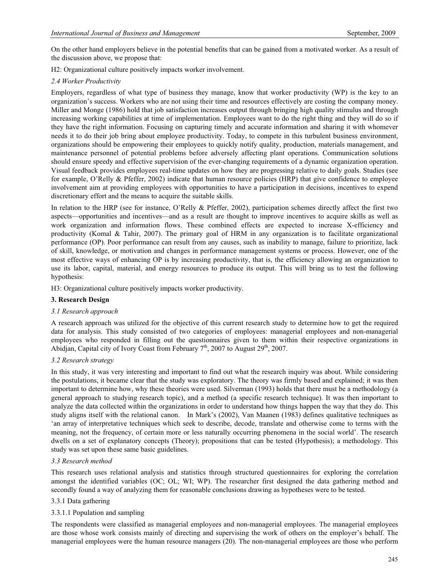On the other hand employers believe in the potential benefits that can be gained from a motivated worker. As a result of the discussion above, we propose that:

H2: Organizational culture positively impacts worker involvement.

# *2.4 Worker Productivity*

Employers, regardless of what type of business they manage, know that worker productivity (WP) is the key to an organization's success. Workers who are not using their time and resources effectively are costing the company money. Miller and Monge (1986) hold that job satisfaction increases output through bringing high quality stimulus and through increasing working capabilities at time of implementation. Employees want to do the right thing and they will do so if they have the right information. Focusing on capturing timely and accurate information and sharing it with whomever needs it to do their job bring about employee productivity. Today, to compete in this turbulent business environment, organizations should be empowering their employees to quickly notify quality, production, materials management, and maintenance personnel of potential problems before adversely affecting plant operations. Communication solutions should ensure speedy and effective supervision of the ever-changing requirements of a dynamic organization operation. Visual feedback provides employees real-time updates on how they are progressing relative to daily goals. Studies (see for example, O'Relly & Pfeffer, 2002) indicate that human resource policies (HRP) that give confidence to employee involvement aim at providing employees with opportunities to have a participation in decisions, incentives to expend discretionary effort and the means to acquire the suitable skills.

In relation to the HRP (see for instance, O'Relly & Pfeffer, 2002), participation schemes directly affect the first two aspects—opportunities and incentives—and as a result are thought to improve incentives to acquire skills as well as work organization and information flows. These combined effects are expected to increase X-efficiency and productivity (Komal & Tahir, 2007). The primary goal of HRM in any organization is to facilitate organizational performance (OP). Poor performance can result from any causes, such as inability to manage, failure to prioritize, lack of skill, knowledge, or motivation and changes in performance management systems or process. However, one of the most effective ways of enhancing OP is by increasing productivity, that is, the efficiency allowing an organization to use its labor, capital, material, and energy resources to produce its output. This will bring us to test the following hypothesis:

H3: Organizational culture positively impacts worker productivity.

# **3. Research Design**

### *3.1 Research approach*

A research approach was utilized for the objective of this current research study to determine how to get the required data for analysis. This study consisted of two categories of employees: managerial employees and non-managerial employees who responded in filling out the questionnaires given to them within their respective organizations in Abidjan, Capital city of Ivory Coast from February  $7<sup>th</sup>$ , 2007 to August 29<sup>th</sup>, 2007.

# *3.2 Research strategy*

In this study, it was very interesting and important to find out what the research inquiry was about. While considering the postulations, it became clear that the study was exploratory. The theory was firmly based and explained; it was then important to determine how, why these theories were used. Silverman (1993) holds that there must be a methodology (a general approach to studying research topic), and a method (a specific research technique). It was then important to analyze the data collected within the organizations in order to understand how things happen the way that they do. This study aligns itself with the relational canon. In Mark's (2002), Van Maanen (1983) defines qualitative techniques as 'an array of interpretative techniques which seek to describe, decode, translate and otherwise come to terms with the meaning, not the frequency, of certain more or less naturally occurring phenomena in the social world'. The research dwells on a set of explanatory concepts (Theory); propositions that can be tested (Hypothesis); a methodology. This study was set upon these same basic guidelines.

### *3.3 Research method*

This research uses relational analysis and statistics through structured questionnaires for exploring the correlation amongst the identified variables (OC; OL; WI; WP). The researcher first designed the data gathering method and secondly found a way of analyzing them for reasonable conclusions drawing as hypotheses were to be tested.

# 3.3.1 Data gathering

# 3.3.1.1 Population and sampling

The respondents were classified as managerial employees and non-managerial employees. The managerial employees are those whose work consists mainly of directing and supervising the work of others on the employer's behalf. The managerial employees were the human resource managers (20). The non-managerial employees are those who perform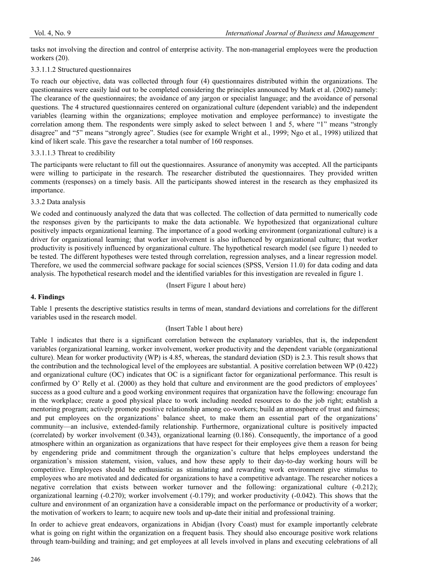tasks not involving the direction and control of enterprise activity. The non-managerial employees were the production workers (20).

## 3.3.1.1.2 Structured questionnaires

To reach our objective, data was collected through four (4) questionnaires distributed within the organizations. The questionnaires were easily laid out to be completed considering the principles announced by Mark et al. (2002) namely: The clearance of the questionnaires; the avoidance of any jargon or specialist language; and the avoidance of personal questions. The 4 structured questionnaires centered on organizational culture (dependent variable) and the independent variables (learning within the organizations; employee motivation and employee performance) to investigate the correlation among them. The respondents were simply asked to select between 1 and 5, where "1" means "strongly disagree" and "5" means "strongly agree". Studies (see for example Wright et al., 1999; Ngo et al., 1998) utilized that kind of likert scale. This gave the researcher a total number of 160 responses.

### 3.3.1.1.3 Threat to credibility

The participants were reluctant to fill out the questionnaires. Assurance of anonymity was accepted. All the participants were willing to participate in the research. The researcher distributed the questionnaires. They provided written comments (responses) on a timely basis. All the participants showed interest in the research as they emphasized its importance.

### 3.3.2 Data analysis

We coded and continuously analyzed the data that was collected. The collection of data permitted to numerically code the responses given by the participants to make the data actionable. We hypothesized that organizational culture positively impacts organizational learning. The importance of a good working environment (organizational culture) is a driver for organizational learning; that worker involvement is also influenced by organizational culture; that worker productivity is positively influenced by organizational culture. The hypothetical research model (see figure 1) needed to be tested. The different hypotheses were tested through correlation, regression analyses, and a linear regression model. Therefore, we used the commercial software package for social sciences (SPSS, Version 11.0) for data coding and data analysis. The hypothetical research model and the identified variables for this investigation are revealed in figure 1.

# (Insert Figure 1 about here)

### **4. Findings**

Table 1 presents the descriptive statistics results in terms of mean, standard deviations and correlations for the different variables used in the research model.

### (Insert Table 1 about here)

Table 1 indicates that there is a significant correlation between the explanatory variables, that is, the independent variables (organizational learning, worker involvement, worker productivity and the dependent variable (organizational culture). Mean for worker productivity (WP) is 4.85, whereas, the standard deviation (SD) is 2.3. This result shows that the contribution and the technological level of the employees are substantial. A positive correlation between WP (0.422) and organizational culture (OC) indicates that OC is a significant factor for organizational performance. This result is confirmed by O' Relly et al. (2000) as they hold that culture and environment are the good predictors of employees' success as a good culture and a good working environment requires that organization have the following: encourage fun in the workplace; create a good physical place to work including needed resources to do the job right; establish a mentoring program; actively promote positive relationship among co-workers; build an atmosphere of trust and fairness; and put employees on the organizations' balance sheet, to make them an essential part of the organizations' community—an inclusive, extended-family relationship. Furthermore, organizational culture is positively impacted (correlated) by worker involvement (0.343), organizational learning (0.186). Consequently, the importance of a good atmosphere within an organization as organizations that have respect for their employees give them a reason for being by engendering pride and commitment through the organization's culture that helps employees understand the organization's mission statement, vision, values, and how these apply to their day-to-day working hours will be competitive. Employees should be enthusiastic as stimulating and rewarding work environment give stimulus to employees who are motivated and dedicated for organizations to have a competitive advantage. The researcher notices a negative correlation that exists between worker turnover and the following: organizational culture (-0.212); organizational learning (-0.270); worker involvement (-0.179); and worker productivity (-0.042). This shows that the culture and environment of an organization have a considerable impact on the performance or productivity of a worker; the motivation of workers to learn; to acquire new tools and up-date their initial and professional training.

In order to achieve great endeavors, organizations in Abidjan (Ivory Coast) must for example importantly celebrate what is going on right within the organization on a frequent basis. They should also encourage positive work relations through team-building and training; and get employees at all levels involved in plans and executing celebrations of all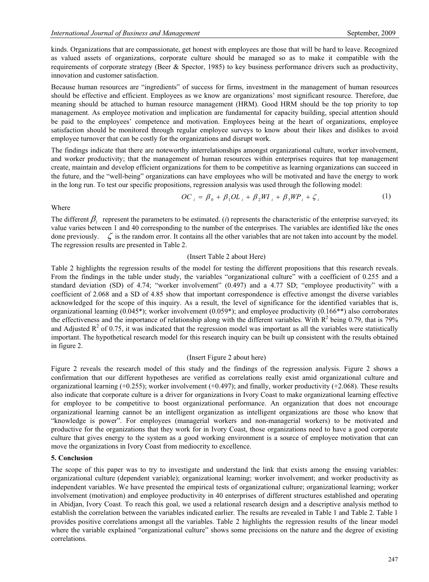kinds. Organizations that are compassionate, get honest with employees are those that will be hard to leave. Recognized as valued assets of organizations, corporate culture should be managed so as to make it compatible with the requirements of corporate strategy (Beer & Spector, 1985) to key business performance drivers such as productivity, innovation and customer satisfaction.

Because human resources are "ingredients" of success for firms, investment in the management of human resources should be effective and efficient. Employees as we know are organizations' most significant resource. Therefore, due meaning should be attached to human resource management (HRM). Good HRM should be the top priority to top management. As employee motivation and implication are fundamental for capacity building, special attention should be paid to the employees' competence and motivation. Employees being at the heart of organizations, employee satisfaction should be monitored through regular employee surveys to know about their likes and dislikes to avoid employee turnover that can be costly for the organizations and disrupt work.

The findings indicate that there are noteworthy interrelationships amongst organizational culture, worker involvement, and worker productivity; that the management of human resources within enterprises requires that top management create, maintain and develop efficient organizations for them to be competitive as learning organizations can succeed in the future, and the "well-being" organizations can have employees who will be motivated and have the energy to work in the long run. To test our specific propositions, regression analysis was used through the following model:

$$
OC_i = \beta_0 + \beta_1 OL_i + \beta_2 WI_i + \beta_3 WP_i + \zeta_i \tag{1}
$$

Where

The different  $\beta$ , represent the parameters to be estimated. (*i*) represents the characteristic of the enterprise surveyed; its value varies between 1 and 40 corresponding to the number of the enterprises. The variables are identified like the ones done previously.  $\zeta$  is the random error. It contains all the other variables that are not taken into account by the model. The regression results are presented in Table 2.

#### (Insert Table 2 about Here)

Table 2 highlights the regression results of the model for testing the different propositions that this research reveals. From the findings in the table under study, the variables "organizational culture" with a coefficient of 0.255 and a standard deviation (SD) of 4.74; "worker involvement" (0.497) and a 4.77 SD; "employee productivity" with a coefficient of 2.068 and a SD of 4.85 show that important correspondence is effective amongst the diverse variables acknowledged for the scope of this inquiry. As a result, the level of significance for the identified variables that is, organizational learning (0.045\*); worker involvement (0.059\*); and employee productivity (0.166\*\*) also corroborates the effectiveness and the importance of relationship along with the different variables. With  $R^2$  being 0.79, that is 79% and Adjusted  $\mathbb{R}^2$  of 0.75, it was indicated that the regression model was important as all the variables were statistically important. The hypothetical research model for this research inquiry can be built up consistent with the results obtained in figure 2.

#### (Insert Figure 2 about here)

Figure 2 reveals the research model of this study and the findings of the regression analysis. Figure 2 shows a confirmation that our different hypotheses are verified as correlations really exist amid organizational culture and organizational learning (+0.255); worker involvement (+0.497); and finally, worker productivity (+2.068). These results also indicate that corporate culture is a driver for organizations in Ivory Coast to make organizational learning effective for employee to be competitive to boost organizational performance. An organization that does not encourage organizational learning cannot be an intelligent organization as intelligent organizations are those who know that "knowledge is power". For employees (managerial workers and non-managerial workers) to be motivated and productive for the organizations that they work for in Ivory Coast, those organizations need to have a good corporate culture that gives energy to the system as a good working environment is a source of employee motivation that can move the organizations in Ivory Coast from mediocrity to excellence.

#### **5. Conclusion**

The scope of this paper was to try to investigate and understand the link that exists among the ensuing variables: organizational culture (dependent variable); organizational learning; worker involvement; and worker productivity as independent variables. We have presented the empirical tests of organizational culture; organizational learning; worker involvement (motivation) and employee productivity in 40 enterprises of different structures established and operating in Abidjan, Ivory Coast. To reach this goal, we used a relational research design and a descriptive analysis method to establish the correlation between the variables indicated earlier. The results are revealed in Table 1 and Table 2. Table 1 provides positive correlations amongst all the variables. Table 2 highlights the regression results of the linear model where the variable explained "organizational culture" shows some precisions on the nature and the degree of existing correlations.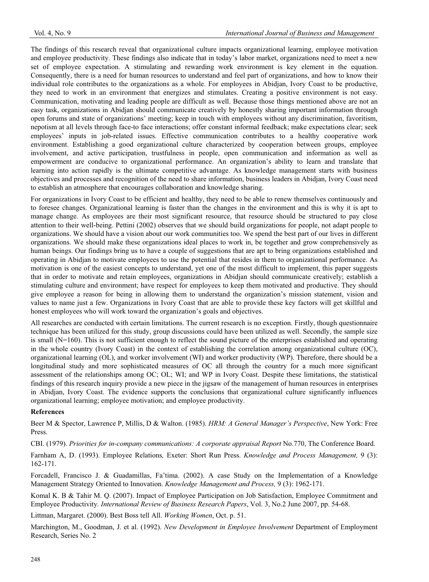The findings of this research reveal that organizational culture impacts organizational learning, employee motivation and employee productivity. These findings also indicate that in today's labor market, organizations need to meet a new set of employee expectation. A stimulating and rewarding work environment is key element in the equation. Consequently, there is a need for human resources to understand and feel part of organizations, and how to know their individual role contributes to the organizations as a whole. For employees in Abidjan, Ivory Coast to be productive, they need to work in an environment that energizes and stimulates. Creating a positive environment is not easy. Communication, motivating and leading people are difficult as well. Because those things mentioned above are not an easy task, organizations in Abidjan should communicate creatively by honestly sharing important information through open forums and state of organizations' meeting; keep in touch with employees without any discrimination, favoritism, nepotism at all levels through face-to face interactions; offer constant informal feedback; make expectations clear; seek employees' inputs in job-related issues. Effective communication contributes to a healthy cooperative work environment. Establishing a good organizational culture characterized by cooperation between groups, employee involvement, and active participation, trustfulness in people, open communication and information as well as empowerment are conducive to organizational performance. An organization's ability to learn and translate that learning into action rapidly is the ultimate competitive advantage. As knowledge management starts with business objectives and processes and recognition of the need to share information, business leaders in Abidjan, Ivory Coast need to establish an atmosphere that encourages collaboration and knowledge sharing.

For organizations in Ivory Coast to be efficient and healthy, they need to be able to renew themselves continuously and to foresee changes. Organizational learning is faster than the changes in the environment and this is why it is apt to manage change. As employees are their most significant resource, that resource should be structured to pay close attention to their well-being. Pettini (2002) observes that we should build organizations for people, not adapt people to organizations. We should have a vision about our work communities too. We spend the best part of our lives in different organizations. We should make these organizations ideal places to work in, be together and grow comprehensively as human beings. Our findings bring us to have a couple of suggestions that are apt to bring organizations established and operating in Abidjan to motivate employees to use the potential that resides in them to organizational performance. As motivation is one of the easiest concepts to understand, yet one of the most difficult to implement, this paper suggests that in order to motivate and retain employees, organizations in Abidjan should communicate creatively; establish a stimulating culture and environment; have respect for employees to keep them motivated and productive. They should give employee a reason for being in allowing them to understand the organization's mission statement, vision and values to name just a few. Organizations in Ivory Coast that are able to provide these key factors will get skillful and honest employees who will work toward the organization's goals and objectives.

All researches are conducted with certain limitations. The current research is no exception. Firstly, though questionnaire technique has been utilized for this study, group discussions could have been utilized as well. Secondly, the sample size is small  $(N=160)$ . This is not sufficient enough to reflect the sound picture of the enterprises established and operating in the whole country (Ivory Coast) in the context of establishing the correlation among organizational culture (OC), organizational learning (OL), and worker involvement (WI) and worker productivity (WP). Therefore, there should be a longitudinal study and more sophisticated measures of OC all through the country for a much more significant assessment of the relationships among OC; OL; WI; and WP in Ivory Coast. Despite these limitations, the statistical findings of this research inquiry provide a new piece in the jigsaw of the management of human resources in enterprises in Abidjan, Ivory Coast. The evidence supports the conclusions that organizational culture significantly influences organizational learning; employee motivation; and employee productivity.

#### **References**

Beer M & Spector, Lawrence P, Millis, D & Walton. (1985). *HRM: A General Manager's Perspective*, New York: Free Press.

CBI. (1979). *Priorities for in-company communications: A corporate appraisal Report* No.770, The Conference Board.

Farnham A, D. (1993). Employee Relations*,* Exeter: Short Run Press. *Knowledge and Process Management,* 9 (3): 162-171.

Forcadell, Francisco J. & Guadamillas, Fa'tima. (2002). A case Study on the Implementation of a Knowledge Management Strategy Oriented to Innovation. *Knowledge Management and Process,* 9 (3): 1962-171.

Komal K. B & Tahir M. Q. (2007). Impact of Employee Participation on Job Satisfaction, Employee Commitment and Employee Productivity*. International Review of Business Research Papers*, Vol. 3, No.2 June 2007, pp. 54-68.

Littman, Margaret. (2000). Best Boss tell All. *Working Women*, Oct. p. 51.

Marchington, M., Goodman, J. et al. (1992). *New Development in Employee Involvement* Department of Employment Research, Series No. 2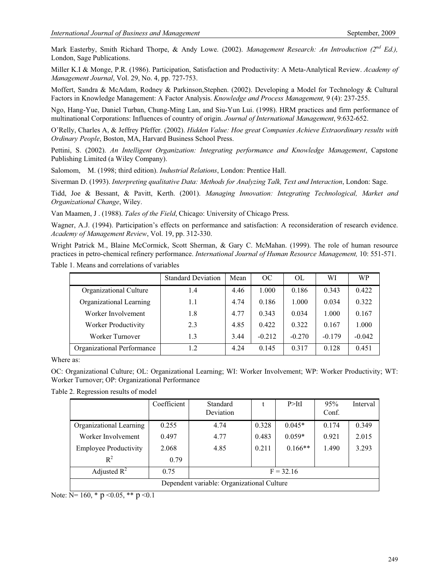Mark Easterby, Smith Richard Thorpe, & Andy Lowe. (2002). *Management Research: An Introduction (2nd Ed.),* London, Sage Publications.

Miller K.I & Monge, P.R. (1986). Participation, Satisfaction and Productivity: A Meta-Analytical Review. *Academy of Management Journal*, Vol. 29, No. 4, pp. 727-753.

Moffert, Sandra & McAdam, Rodney & Parkinson,Stephen. (2002). Developing a Model for Technology & Cultural Factors in Knowledge Management: A Factor Analysis. *Knowledge and Process Management,* 9 (4): 237-255.

Ngo, Hang-Yue, Daniel Turban, Chung-Ming Lan, and Siu-Yun Lui. (1998). HRM practices and firm performance of multinational Corporations: Influences of country of origin. *Journal of International Management*, 9:632-652.

O'Relly, Charles A, & Jeffrey Pfeffer. (2002). *Hidden Value: Hoe great Companies Achieve Extraordinary results with Ordinary People*, Boston, MA, Harvard Business School Press.

Pettini, S. (2002). *An Intelligent Organization: Integrating performance and Knowledge Management*, Capstone Publishing Limited (a Wiley Company).

Salomom, M. (1998; third edition). *Industrial Relations*, London: Prentice Hall.

Siverman D. (1993). *Interpreting qualitative Data: Methods for Analyzing Talk, Text and Interaction*, London: Sage.

Tidd, Joe & Bessant, & Pavitt, Kerth. (2001). *Managing Innovation: Integrating Technological, Market and Organizational Change*, Wiley.

Van Maamen, J . (1988). *Tales of the Field*, Chicago: University of Chicago Press.

Wagner, A.J. (1994). Participation's effects on performance and satisfaction: A reconsideration of research evidence. *Academy of Management Review*, Vol. 19, pp. 312-330.

Wright Patrick M., Blaine McCormick, Scott Sherman, & Gary C. McMahan. (1999). The role of human resource practices in petro-chemical refinery performance. *International Journal of Human Resource Management,* 10: 551-571.

|  |  | Table 1. Means and correlations of variables |  |
|--|--|----------------------------------------------|--|
|  |  |                                              |  |

|                            | <b>Standard Deviation</b> | Mean | OC       | OL       | WI       | <b>WP</b> |
|----------------------------|---------------------------|------|----------|----------|----------|-----------|
| Organizational Culture     | 1.4                       | 4.46 | 1.000    | 0.186    | 0.343    | 0.422     |
| Organizational Learning    | 1.1                       | 4.74 | 0.186    | 1.000    | 0.034    | 0.322     |
| Worker Involvement         | 1.8                       | 4.77 | 0.343    | 0.034    | 1.000    | 0.167     |
| Worker Productivity        | 2.3                       | 4.85 | 0.422    | 0.322    | 0.167    | 1.000     |
| Worker Turnover            | 1.3                       | 3.44 | $-0.212$ | $-0.270$ | $-0.179$ | $-0.042$  |
| Organizational Performance | 1.2                       | 4.24 | 0.145    | 0.317    | 0.128    | 0.451     |

Where as:

OC: Organizational Culture; OL: Organizational Learning; WI: Worker Involvement; WP: Worker Productivity; WT: Worker Turnover; OP: Organizational Performance

Table 2. Regression results of model

|                                            | Coefficient | Standard<br>Deviation |       | P > ItI   | 95%<br>Conf. | Interval |  |
|--------------------------------------------|-------------|-----------------------|-------|-----------|--------------|----------|--|
| Organizational Learning                    | 0.255       | 4.74                  | 0.328 | $0.045*$  | 0.174        | 0.349    |  |
| Worker Involvement                         | 0.497       | 4.77                  | 0.483 | $0.059*$  | 0.921        | 2.015    |  |
| <b>Employee Productivity</b>               | 2.068       | 4.85                  | 0.211 | $0.166**$ | 1.490        | 3.293    |  |
| $R^2$                                      | 0.79        |                       |       |           |              |          |  |
| Adjusted $R^2$                             | 0.75        | $F = 32.16$           |       |           |              |          |  |
| Dependent variable: Organizational Culture |             |                       |       |           |              |          |  |

Note:  $N=160$ , \*  $p < 0.05$ , \*\*  $p < 0.1$